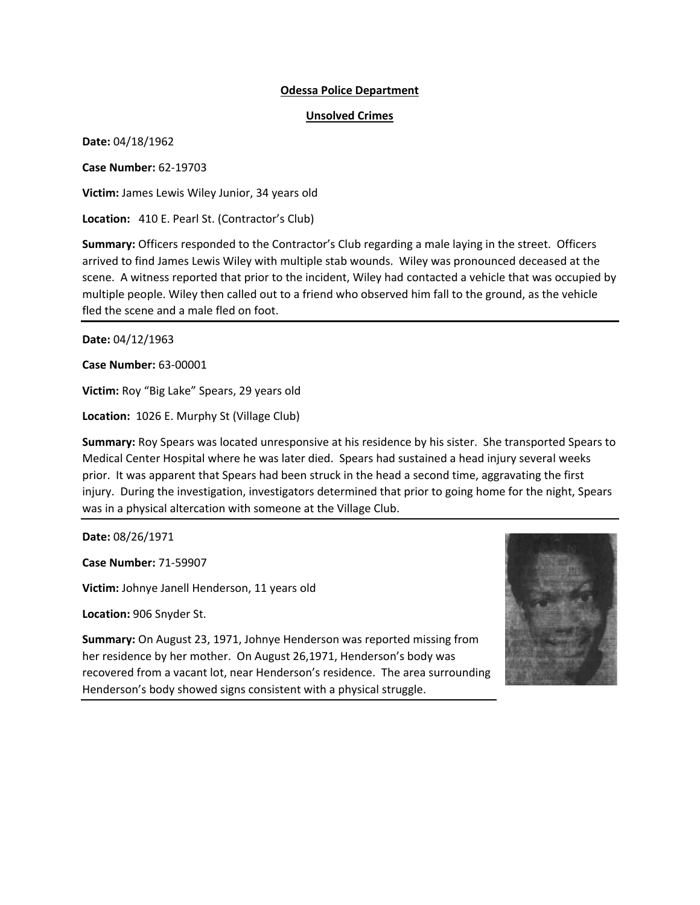## **Odessa Police Department**

## **Unsolved Crimes**

**Date:** 04/18/1962

**Case Number:** 62-19703

**Victim:** James Lewis Wiley Junior, 34 years old

**Location:** 410 E. Pearl St. (Contractor's Club)

**Summary:** Officers responded to the Contractor's Club regarding a male laying in the street. Officers arrived to find James Lewis Wiley with multiple stab wounds. Wiley was pronounced deceased at the scene. A witness reported that prior to the incident, Wiley had contacted a vehicle that was occupied by multiple people. Wiley then called out to a friend who observed him fall to the ground, as the vehicle fled the scene and a male fled on foot.

**Date:** 04/12/1963

**Case Number:** 63-00001

**Victim:** Roy "Big Lake" Spears, 29 years old

**Location:** 1026 E. Murphy St (Village Club)

**Summary:** Roy Spears was located unresponsive at his residence by his sister. She transported Spears to Medical Center Hospital where he was later died. Spears had sustained a head injury several weeks prior. It was apparent that Spears had been struck in the head a second time, aggravating the first injury. During the investigation, investigators determined that prior to going home for the night, Spears was in a physical altercation with someone at the Village Club.

**Date:** 08/26/1971

**Case Number:** 71-59907

**Victim:** Johnye Janell Henderson, 11 years old

**Location:** 906 Snyder St.



**Summary:** On August 23, 1971, Johnye Henderson was reported missing from her residence by her mother. On August 26,1971, Henderson's body was recovered from a vacant lot, near Henderson's residence. The area surrounding Henderson's body showed signs consistent with a physical struggle.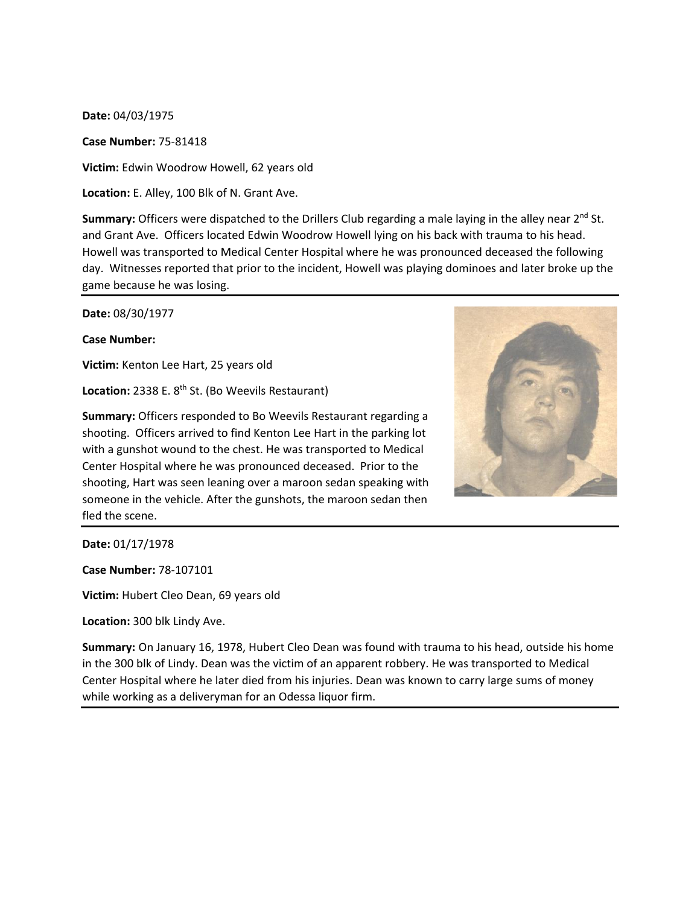## **Date:** 04/03/1975

**Case Number:** 75-81418

**Victim:** Edwin Woodrow Howell, 62 years old

**Location:** E. Alley, 100 Blk of N. Grant Ave.

**Summary:** Officers were dispatched to the Drillers Club regarding a male laying in the alley near 2<sup>nd</sup> St. and Grant Ave. Officers located Edwin Woodrow Howell lying on his back with trauma to his head. Howell was transported to Medical Center Hospital where he was pronounced deceased the following day. Witnesses reported that prior to the incident, Howell was playing dominoes and later broke up the game because he was losing.

**Date:** 08/30/1977

**Case Number:** 

**Victim:** Kenton Lee Hart, 25 years old

Location: 2338 E. 8<sup>th</sup> St. (Bo Weevils Restaurant)



**Summary:** Officers responded to Bo Weevils Restaurant regarding a shooting. Officers arrived to find Kenton Lee Hart in the parking lot with a gunshot wound to the chest. He was transported to Medical Center Hospital where he was pronounced deceased. Prior to the shooting, Hart was seen leaning over a maroon sedan speaking with someone in the vehicle. After the gunshots, the maroon sedan then fled the scene.

**Date:** 01/17/1978

**Case Number:** 78-107101

**Victim:** Hubert Cleo Dean, 69 years old

**Location:** 300 blk Lindy Ave.

**Summary:** On January 16, 1978, Hubert Cleo Dean was found with trauma to his head, outside his home in the 300 blk of Lindy. Dean was the victim of an apparent robbery. He was transported to Medical Center Hospital where he later died from his injuries. Dean was known to carry large sums of money while working as a deliveryman for an Odessa liquor firm.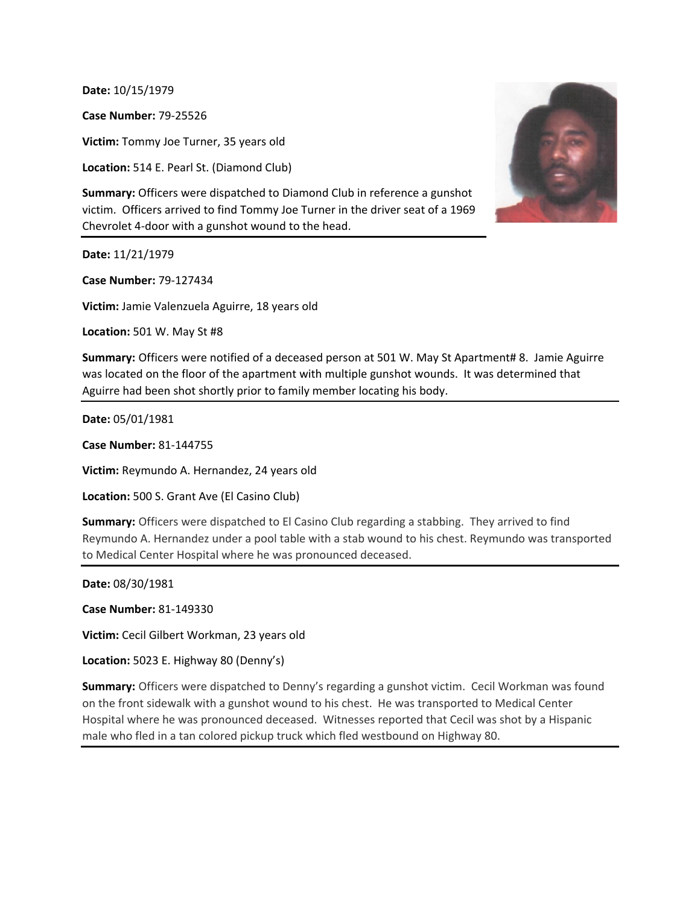**Date:** 10/15/1979

**Case Number:** 79-25526

**Victim:** Tommy Joe Turner, 35 years old

**Location:** 514 E. Pearl St. (Diamond Club)

**Summary:** Officers were dispatched to Diamond Club in reference a gunshot victim. Officers arrived to find Tommy Joe Turner in the driver seat of a 1969 Chevrolet 4-door with a gunshot wound to the head.

**Date:** 11/21/1979

**Case Number:** 79-127434

**Victim:** Jamie Valenzuela Aguirre, 18 years old

**Location:** 501 W. May St #8

**Summary:** Officers were notified of a deceased person at 501 W. May St Apartment# 8. Jamie Aguirre was located on the floor of the apartment with multiple gunshot wounds. It was determined that Aguirre had been shot shortly prior to family member locating his body.

**Date:** 05/01/1981

**Case Number:** 81-144755

**Victim:** Reymundo A. Hernandez, 24 years old

**Location:** 500 S. Grant Ave (El Casino Club)

**Summary:** Officers were dispatched to El Casino Club regarding a stabbing. They arrived to find Reymundo A. Hernandez under a pool table with a stab wound to his chest. Reymundo was transported to Medical Center Hospital where he was pronounced deceased.

**Date:** 08/30/1981

**Case Number:** 81-149330

**Victim:** Cecil Gilbert Workman, 23 years old

**Location:** 5023 E. Highway 80 (Denny's)

**Summary:** Officers were dispatched to Denny's regarding a gunshot victim. Cecil Workman was found on the front sidewalk with a gunshot wound to his chest. He was transported to Medical Center Hospital where he was pronounced deceased. Witnesses reported that Cecil was shot by a Hispanic male who fled in a tan colored pickup truck which fled westbound on Highway 80.

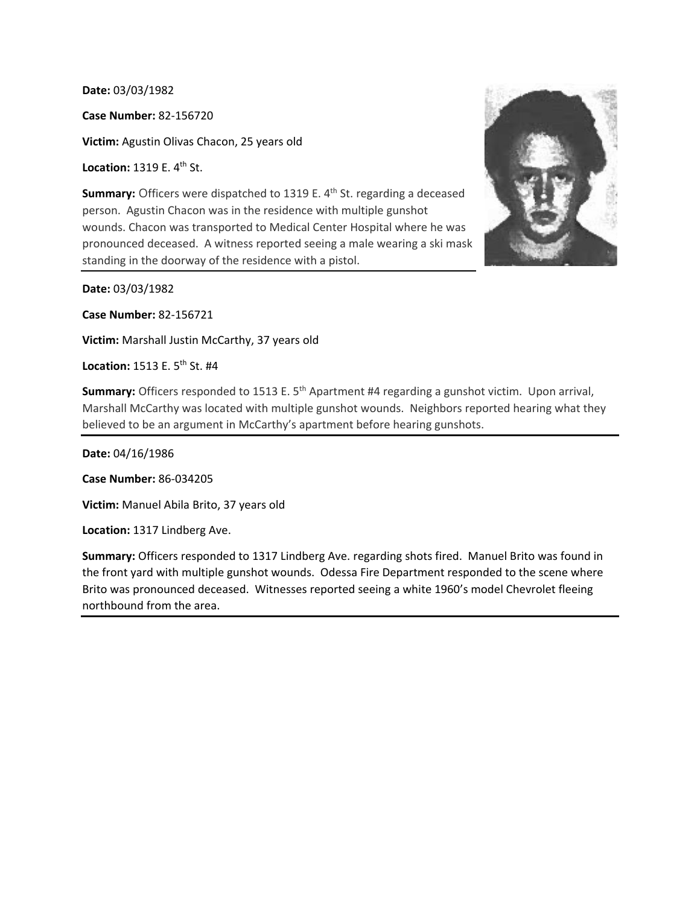**Date:** 03/03/1982

**Case Number:** 82-156720

**Victim:** Agustin Olivas Chacon, 25 years old

**Location: 1319 E. 4<sup>th</sup> St.** 

**Summary:** Officers were dispatched to 1319 E. 4<sup>th</sup> St. regarding a deceased person. Agustin Chacon was in the residence with multiple gunshot wounds. Chacon was transported to Medical Center Hospital where he was pronounced deceased. A witness reported seeing a male wearing a ski mask standing in the doorway of the residence with a pistol.

**Date:** 03/03/1982

**Case Number:** 82-156721

**Victim:** Marshall Justin McCarthy, 37 years old

**Location: 1513 E. 5<sup>th</sup> St. #4** 

**Summary:** Officers responded to 1513 E. 5<sup>th</sup> Apartment #4 regarding a gunshot victim. Upon arrival, Marshall McCarthy was located with multiple gunshot wounds. Neighbors reported hearing what they believed to be an argument in McCarthy's apartment before hearing gunshots.

**Date:** 04/16/1986

**Case Number:** 86-034205

**Victim:** Manuel Abila Brito, 37 years old

**Location:** 1317 Lindberg Ave.

**Summary:** Officers responded to 1317 Lindberg Ave. regarding shots fired. Manuel Brito was found in the front yard with multiple gunshot wounds. Odessa Fire Department responded to the scene where Brito was pronounced deceased. Witnesses reported seeing a white 1960's model Chevrolet fleeing northbound from the area.

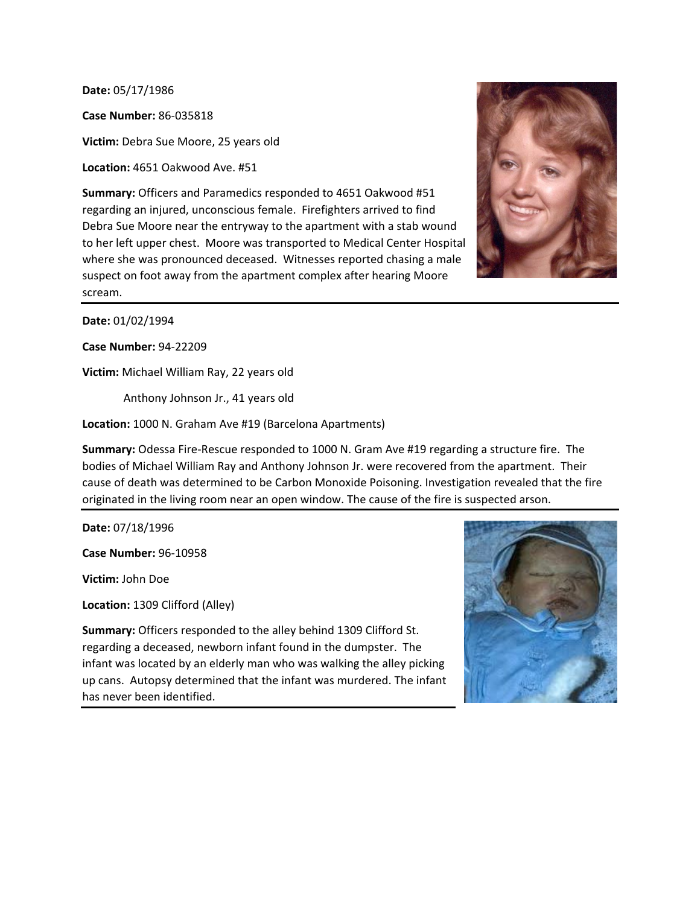**Date:** 05/17/1986

**Case Number:** 86-035818

**Victim:** Debra Sue Moore, 25 years old

**Location:** 4651 Oakwood Ave. #51

**Summary:** Officers and Paramedics responded to 4651 Oakwood #51 regarding an injured, unconscious female. Firefighters arrived to find Debra Sue Moore near the entryway to the apartment with a stab wound to her left upper chest. Moore was transported to Medical Center Hospital where she was pronounced deceased. Witnesses reported chasing a male suspect on foot away from the apartment complex after hearing Moore scream.



**Date:** 01/02/1994

**Case Number:** 94-22209

**Victim:** Michael William Ray, 22 years old

Anthony Johnson Jr., 41 years old

**Location:** 1000 N. Graham Ave #19 (Barcelona Apartments)

**Summary:** Odessa Fire-Rescue responded to 1000 N. Gram Ave #19 regarding a structure fire. The bodies of Michael William Ray and Anthony Johnson Jr. were recovered from the apartment. Their cause of death was determined to be Carbon Monoxide Poisoning. Investigation revealed that the fire originated in the living room near an open window. The cause of the fire is suspected arson.

**Date:** 07/18/1996

**Case Number:** 96-10958

**Victim:** John Doe

**Location:** 1309 Clifford (Alley)

**Summary:** Officers responded to the alley behind 1309 Clifford St. regarding a deceased, newborn infant found in the dumpster. The infant was located by an elderly man who was walking the alley picking up cans. Autopsy determined that the infant was murdered. The infant has never been identified.

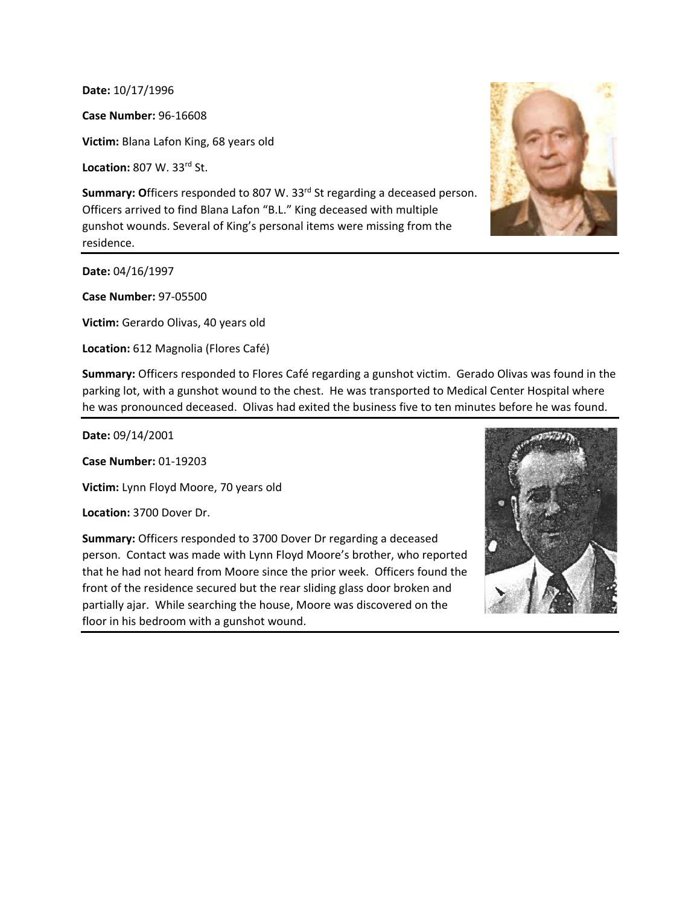**Date:** 10/17/1996

**Case Number:** 96-16608

**Victim:** Blana Lafon King, 68 years old

**Location:** 807 W. 33rd St.

Summary: Officers responded to 807 W. 33<sup>rd</sup> St regarding a deceased person. Officers arrived to find Blana Lafon "B.L." King deceased with multiple gunshot wounds. Several of King's personal items were missing from the residence.

**Date:** 04/16/1997

**Case Number:** 97-05500

**Victim:** Gerardo Olivas, 40 years old

**Location:** 612 Magnolia (Flores Café)



**Summary:** Officers responded to Flores Café regarding a gunshot victim. Gerado Olivas was found in the parking lot, with a gunshot wound to the chest. He was transported to Medical Center Hospital where he was pronounced deceased. Olivas had exited the business five to ten minutes before he was found.

**Date:** 09/14/2001

**Case Number:** 01-19203

**Victim:** Lynn Floyd Moore, 70 years old

**Location:** 3700 Dover Dr.

**Summary:** Officers responded to 3700 Dover Dr regarding a deceased person. Contact was made with Lynn Floyd Moore's brother, who reported that he had not heard from Moore since the prior week. Officers found the front of the residence secured but the rear sliding glass door broken and partially ajar. While searching the house, Moore was discovered on the floor in his bedroom with a gunshot wound.

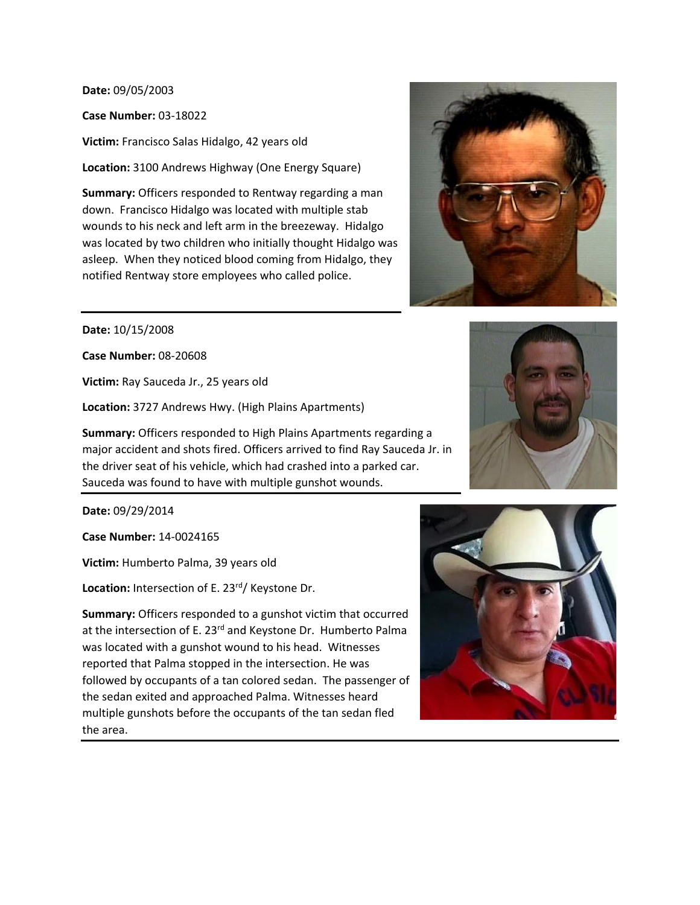**Date:** 09/05/2003

**Case Number:** 03-18022

**Victim:** Francisco Salas Hidalgo, 42 years old

**Location:** 3100 Andrews Highway (One Energy Square)

**Summary:** Officers responded to Rentway regarding a man down. Francisco Hidalgo was located with multiple stab wounds to his neck and left arm in the breezeway. Hidalgo was located by two children who initially thought Hidalgo was asleep. When they noticed blood coming from Hidalgo, they notified Rentway store employees who called police.



**Date:** 10/15/2008

**Case Number:** 08-20608

**Victim:** Ray Sauceda Jr., 25 years old

**Location:** 3727 Andrews Hwy. (High Plains Apartments)

**Summary:** Officers responded to High Plains Apartments regarding a major accident and shots fired. Officers arrived to find Ray Sauceda Jr. in the driver seat of his vehicle, which had crashed into a parked car. Sauceda was found to have with multiple gunshot wounds.

**Date:** 09/29/2014

**Case Number:** 14-0024165

**Victim:** Humberto Palma, 39 years old

Location: Intersection of E. 23<sup>rd</sup>/ Keystone Dr.

**Summary:** Officers responded to a gunshot victim that occurred at the intersection of E. 23<sup>rd</sup> and Keystone Dr. Humberto Palma was located with a gunshot wound to his head. Witnesses reported that Palma stopped in the intersection. He was followed by occupants of a tan colored sedan. The passenger of the sedan exited and approached Palma. Witnesses heard multiple gunshots before the occupants of the tan sedan fled the area.